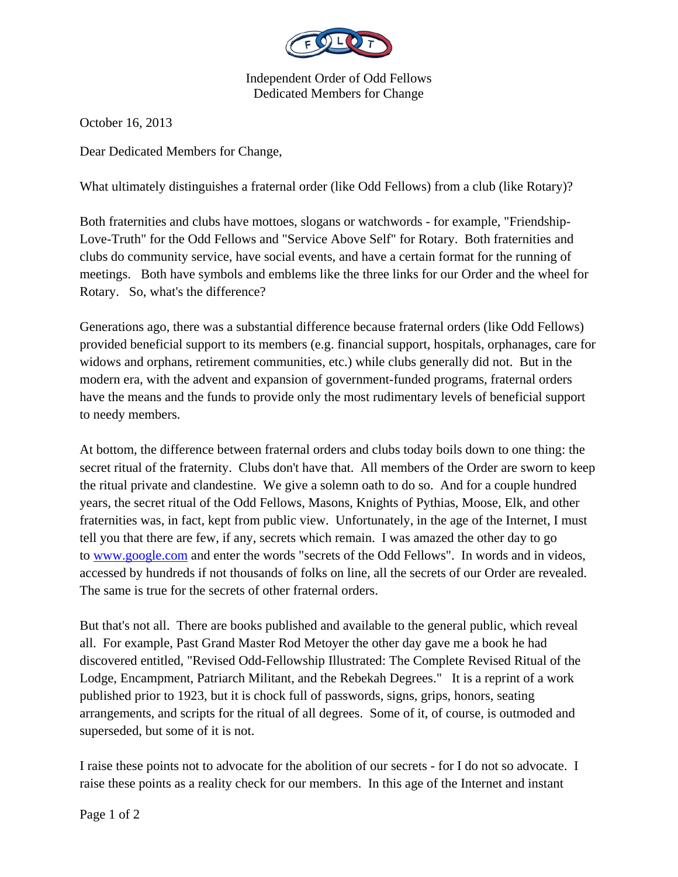

Independent Order of Odd Fellows Dedicated Members for Change

October 16, 2013

Dear Dedicated Members for Change,

What ultimately distinguishes a fraternal order (like Odd Fellows) from a club (like Rotary)?

Both fraternities and clubs have mottoes, slogans or watchwords - for example, "Friendship-Love-Truth" for the Odd Fellows and "Service Above Self" for Rotary. Both fraternities and clubs do community service, have social events, and have a certain format for the running of meetings. Both have symbols and emblems like the three links for our Order and the wheel for Rotary. So, what's the difference?

Generations ago, there was a substantial difference because fraternal orders (like Odd Fellows) provided beneficial support to its members (e.g. financial support, hospitals, orphanages, care for widows and orphans, retirement communities, etc.) while clubs generally did not. But in the modern era, with the advent and expansion of government-funded programs, fraternal orders have the means and the funds to provide only the most rudimentary levels of beneficial support to needy members.

At bottom, the difference between fraternal orders and clubs today boils down to one thing: the secret ritual of the fraternity. Clubs don't have that. All members of the Order are sworn to keep the ritual private and clandestine. We give a solemn oath to do so. And for a couple hundred years, the secret ritual of the Odd Fellows, Masons, Knights of Pythias, Moose, Elk, and other fraternities was, in fact, kept from public view. Unfortunately, in the age of the Internet, I must tell you that there are few, if any, secrets which remain. I was amazed the other day to go to www.google.com and enter the words "secrets of the Odd Fellows". In words and in videos, accessed by hundreds if not thousands of folks on line, all the secrets of our Order are revealed. The same is true for the secrets of other fraternal orders.

But that's not all. There are books published and available to the general public, which reveal all. For example, Past Grand Master Rod Metoyer the other day gave me a book he had discovered entitled, "Revised Odd-Fellowship Illustrated: The Complete Revised Ritual of the Lodge, Encampment, Patriarch Militant, and the Rebekah Degrees." It is a reprint of a work published prior to 1923, but it is chock full of passwords, signs, grips, honors, seating arrangements, and scripts for the ritual of all degrees. Some of it, of course, is outmoded and superseded, but some of it is not.

I raise these points not to advocate for the abolition of our secrets - for I do not so advocate. I raise these points as a reality check for our members. In this age of the Internet and instant